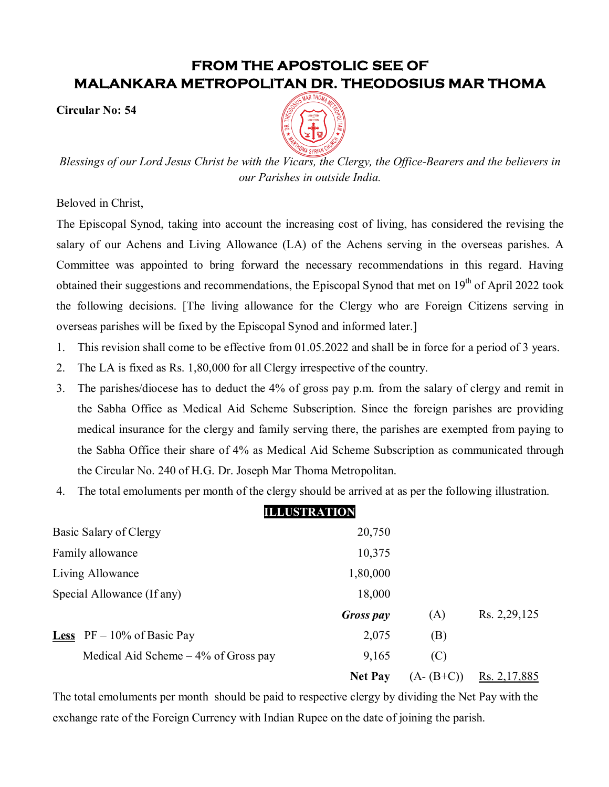## **FROM THE APOSTOLIC SEE OF MALANKARA METROPOLITAN DR. THEODOSIUS MAR THOMA**

**Circular No: 54**



*Blessings of our Lord Jesus Christ be with the Vicars, the Clergy, the Office-Bearers and the believers in our Parishes in outside India.*

Beloved in Christ,

The Episcopal Synod, taking into account the increasing cost of living, has considered the revising the salary of our Achens and Living Allowance (LA) of the Achens serving in the overseas parishes. A Committee was appointed to bring forward the necessary recommendations in this regard. Having obtained their suggestions and recommendations, the Episcopal Synod that met on  $19<sup>th</sup>$  of April 2022 took the following decisions. [The living allowance for the Clergy who are Foreign Citizens serving in overseas parishes will be fixed by the Episcopal Synod and informed later.]

- 1. This revision shall come to be effective from 01.05.2022 and shall be in force for a period of 3 years.
- 2. The LA is fixed as Rs. 1,80,000 for all Clergy irrespective of the country.
- 3. The parishes/diocese has to deduct the 4% of gross pay p.m. from the salary of clergy and remit in the Sabha Office as Medical Aid Scheme Subscription. Since the foreign parishes are providing medical insurance for the clergy and family serving there, the parishes are exempted from paying to the Sabha Office their share of 4% as Medical Aid Scheme Subscription as communicated through the Circular No. 240 of H.G. Dr. Joseph Mar Thoma Metropolitan.
- 4. The total emoluments per month of the clergy should be arrived at as per the following illustration.

## **ILLUSTRATION** Basic Salary of Clergy 20,750 Family allowance 10,375 Living Allowance 1,80,000 Special Allowance (If any) 18,000

|                                        | <b>Gross pay</b> | (A) | Rs. 2,29,125                                   |
|----------------------------------------|------------------|-----|------------------------------------------------|
| <b>Less</b> $PF - 10\%$ of Basic Pay   | 2,075            | (B) |                                                |
| Medical Aid Scheme $-4\%$ of Gross pay | 9.165            | (C) |                                                |
|                                        |                  |     | <b>Net Pay</b> $(A-(B+C))$ <u>Rs. 2,17,885</u> |

The total emoluments per month should be paid to respective clergy by dividing the Net Pay with the exchange rate of the Foreign Currency with Indian Rupee on the date of joining the parish.